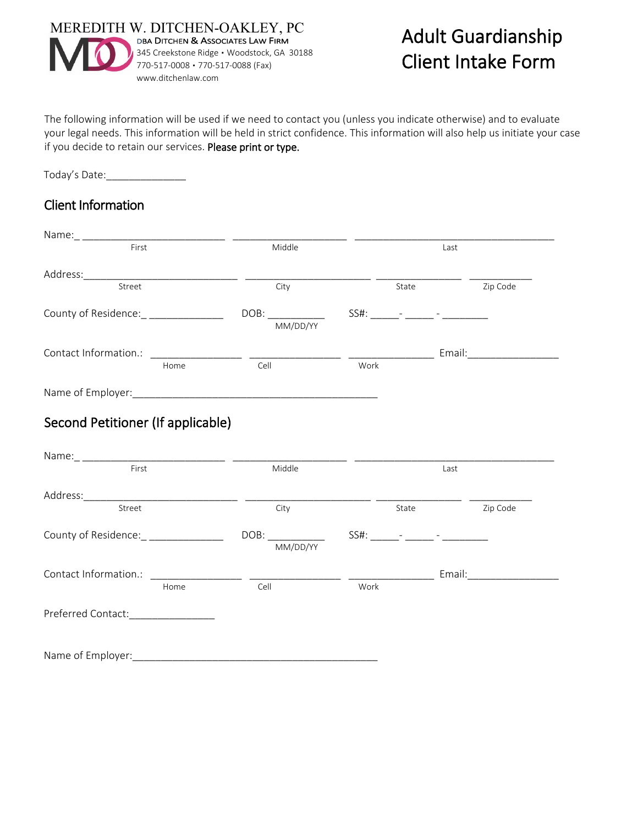

# Adult Guardianship Client Intake Form

The following information will be used if we need to contact you (unless you indicate otherwise) and to evaluate your legal needs. This information will be held in strict confidence. This information will also help us initiate your case if you decide to retain our services. Please print or type.

Today's Date:\_\_\_\_\_\_\_\_\_\_\_\_\_\_

#### Client Information

| First                                 | Middle |          |      | Last  |       |          |  |
|---------------------------------------|--------|----------|------|-------|-------|----------|--|
|                                       |        |          |      |       |       |          |  |
| Street                                |        | City     |      |       | State | Zip Code |  |
| County of Residence: _ ______________ |        |          |      |       |       |          |  |
|                                       |        | MM/DD/YY |      |       |       |          |  |
|                                       |        |          |      |       |       |          |  |
|                                       | Home   | Cell     | Work |       |       |          |  |
|                                       |        |          |      |       |       |          |  |
| Second Petitioner (If applicable)     |        |          |      |       |       |          |  |
| First                                 |        | Middle   |      |       | Last  |          |  |
|                                       |        |          |      |       |       |          |  |
| Street                                |        | City     |      | State |       | Zip Code |  |
|                                       |        |          |      |       |       |          |  |
|                                       |        | MM/DD/YY |      |       |       |          |  |
| County of Residence: _ ______________ |        |          |      |       |       |          |  |
|                                       | Home   | Cell     | Work |       |       |          |  |

Name of Employer:\_\_\_\_\_\_\_\_\_\_\_\_\_\_\_\_\_\_\_\_\_\_\_\_\_\_\_\_\_\_\_\_\_\_\_\_\_\_\_\_\_\_\_